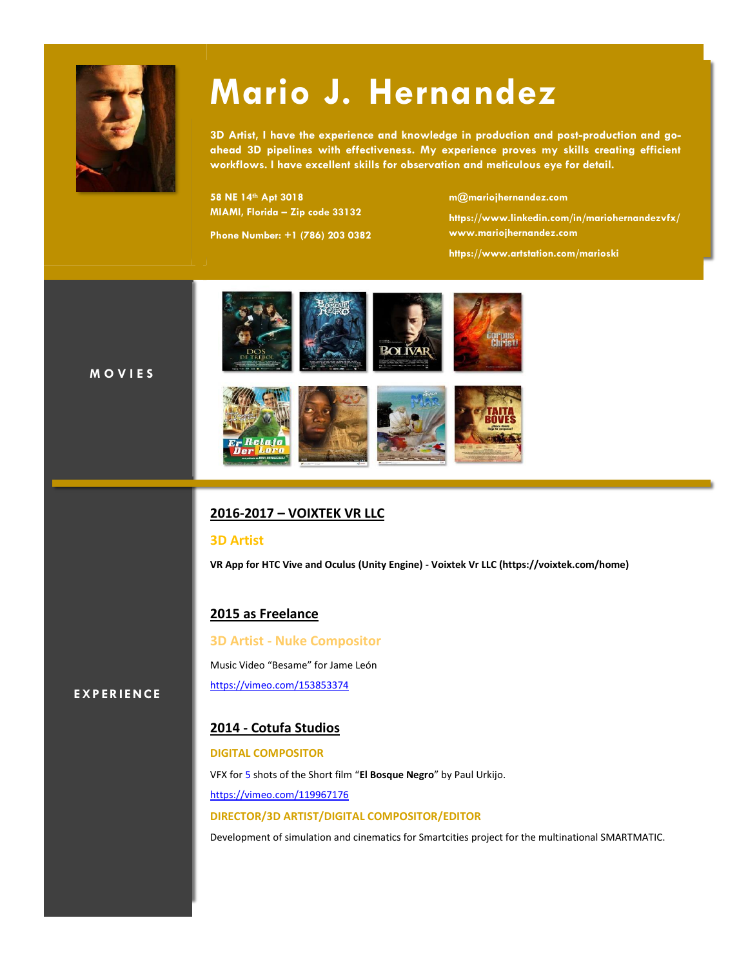

# **Mario J. Hernandez**

**3D Artist, I have the experience and knowledge in production and post-production and goahead 3D pipelines with effectiveness. My experience proves my skills creating efficient workflows. I have excellent skills for observation and meticulous eye for detail.**

**58 NE 14th Apt 3018 MIAMI, Florida – Zip code 33132**

**Phone Number: +1 (786) 203 0382**

**[m@mariojhernandez.com](mailto:m@mariojhernandez.com)**

**https:/[/www.linkedin.com/in/mariohernandezvfx/](http://www.linkedin.com/in/mariohernandezvfx/) [www.mariojhernandez.com](http://www.mariojhernandez.com/)**

**<https://www.artstation.com/marioski>**

**M O V I E S**



### **2016-2017 – VOIXTEK VR LLC**

#### **3D Artist**

**VR App for HTC Vive and Oculus (Unity Engine) - Voixtek Vr LLC (https://voixtek.com/home)**

#### **2015 as Freelance**

**3D Artist - Nuke Compositor** Music Video "Besame" for Jame León <https://vimeo.com/153853374>

**EXP ERI ENCE**

## **2014 - Cotufa Studios**

#### **DIGITAL COMPOSITOR**

VFX for 5 shots of the Short film "**El Bosque Negro**" by Paul Urkijo. https://vimeo.com/119967176 **DIRECTOR/3D ARTIST/DIGITAL COMPOSITOR/EDITOR**

Development of simulation and cinematics for Smartcities project for the multinational SMARTMATIC.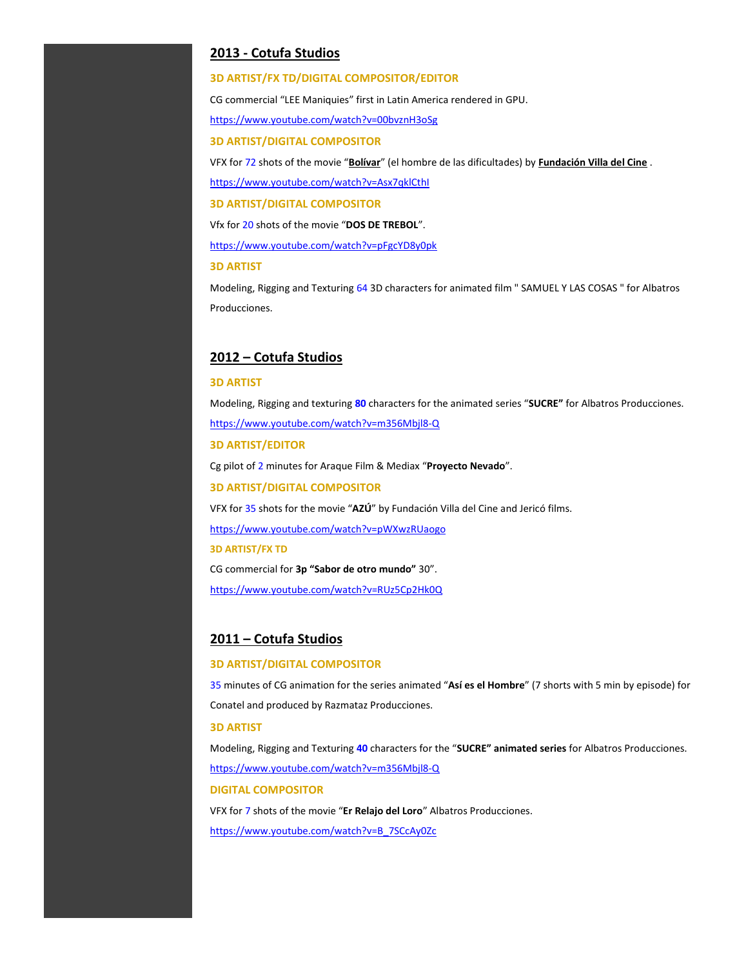#### **2013 - Cotufa Studios**

#### **3D ARTIST/FX TD/DIGITAL COMPOSITOR/EDITOR**

CG commercial "LEE Maniquies" first in Latin America rendered in GPU.

[https://www.youtube.com/watch?v=00bvznH3oSg](http://www.youtube.com/watch?v=00bvznH3oSg)

**3D ARTIST/DIGITAL COMPOSITOR**

VFX for 72 shots of the movie "**Bolívar**" (el hombre de las dificultades) by **Fundación Villa del Cine** .

[https://www.youtube.com/watch?v=Asx7qklCthI](http://www.youtube.com/watch?v=Asx7qklCthI)

**3D ARTIST/DIGITAL COMPOSITOR**

Vfx for 20 shots of the movie "**DOS DE TREBOL**".

[https://www.youtube.com/watch?v=pFgcYD8y0pk](http://www.youtube.com/watch?v=pFgcYD8y0pk)

**3D ARTIST**

Modeling, Rigging and Texturing 64 3D characters for animated film " SAMUEL Y LAS COSAS " for Albatros Producciones.

#### **2012 – Cotufa Studios**

#### **3D ARTIST**

Modeling, Rigging and texturing **80** characters for the animated series "**SUCRE"** for Albatros Producciones. [https://www.youtube.com/watch?v=m356Mbjl8-Q](http://www.youtube.com/watch?v=m356Mbjl8-Q)

**3D ARTIST/EDITOR**

Cg pilot of 2 minutes for Araque Film & Mediax "**Proyecto Nevado**".

**3D ARTIST/DIGITAL COMPOSITOR**

VFX for 35 shots for the movie "**AZÚ**" by Fundación Villa del Cine and Jericó films.

[https://www.youtube.com/watch?v=pWXwzRUaogo](http://www.youtube.com/watch?v=pWXwzRUaogo)

**3D ARTIST/FX TD**

CG commercial for **3p "Sabor de otro mundo"** 30".

http[s://www.youtube.com/watch?v=RUz5Cp2Hk0Q](http://www.youtube.com/watch?v=RUz5Cp2Hk0Q)

#### **2011 – Cotufa Studios**

#### **3D ARTIST/DIGITAL COMPOSITOR**

35 minutes of CG animation for the series animated "**Así es el Hombre**" (7 shorts with 5 min by episode) for Conatel and produced by Razmataz Producciones.

#### **3D ARTIST**

Modeling, Rigging and Texturing **40** characters for the "**SUCRE" animated series** for Albatros Producciones. http[s://www.youtube.com/watch?v=m356Mbjl8-Q](http://www.youtube.com/watch?v=m356Mbjl8-Q)

#### **DIGITAL COMPOSITOR**

VFX for 7 shots of the movie "**Er Relajo del Loro**" Albatros Producciones. http[s://www.youtube.com/watch?v=B\\_7SCcAy0Zc](http://www.youtube.com/watch?v=B_7SCcAy0Zc)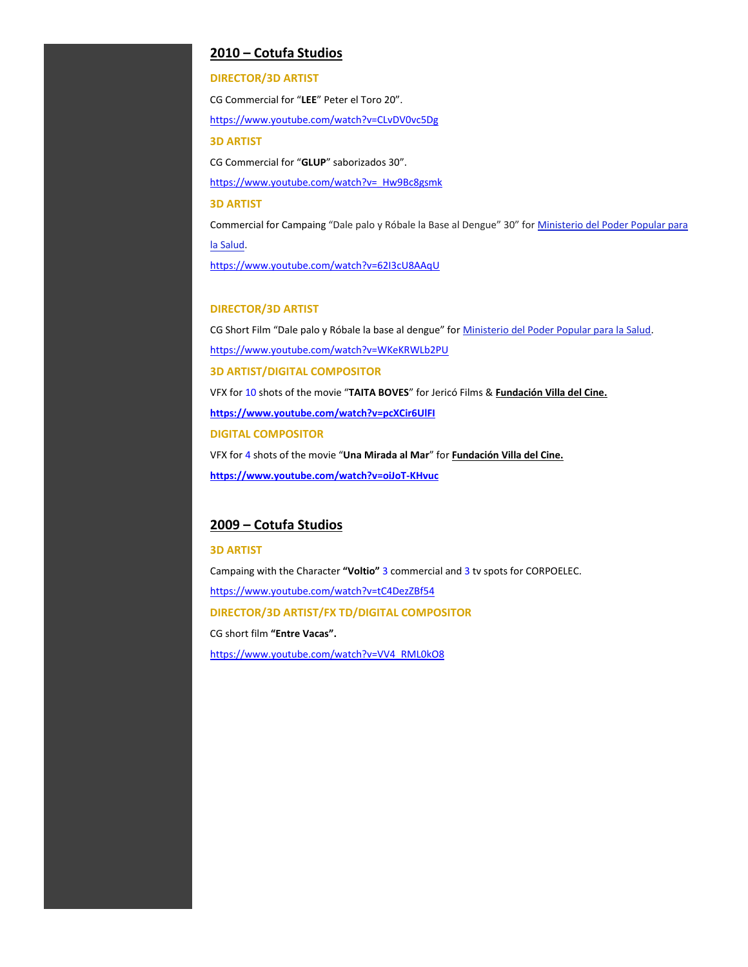#### **2010 – Cotufa Studios**

#### **DIRECTOR/3D ARTIST**

CG Commercial for "**LEE**" Peter el Toro 20". [https://www.youtube.com/watch?v=CLvDV0vc5Dg](http://www.youtube.com/watch?v=CLvDV0vc5Dg) **3D ARTIST** CG Commercial for "**GLUP**" saborizados 30". [https://www.youtube.com/watch?v=\\_Hw9Bc8gsmk](http://www.youtube.com/watch?v=_Hw9Bc8gsmk) **3D ARTIST** Commercial for Campaing "Dale palo y Róbale la Base al Dengue" 30" for [Ministerio del Poder Popular para](http://www.mpps.gob.ve/)  la [Salud.](http://www.mpps.gob.ve/)

[https://www.youtube.com/watch?v=62I3cU8AAqU](http://www.youtube.com/watch?v=62I3cU8AAqU)

#### **DIRECTOR/3D ARTIST**

CG Short Film "Dale palo y Róbale la base al dengue" for [Ministerio del Poder Popular para la Salud.](http://www.mpps.gob.ve/) [https://www.youtube.com/watch?v=WKeKRWLb2PU](http://www.youtube.com/watch?v=WKeKRWLb2PU) **3D ARTIST/DIGITAL COMPOSITOR** VFX for 10 shots of the movie "**TAITA BOVES**" for Jericó Films & **Fundación Villa del Cine. https:/[/www.youtube.com/watch?v=pcXCir6UlFI](http://www.youtube.com/watch?v=pcXCir6UlFI) DIGITAL COMPOSITOR** VFX for 4 shots of the movie "**Una Mirada al Mar**" for **Fundación Villa del Cine. https:/[/www.youtube.com/watch?v=oiJoT-KHvuc](http://www.youtube.com/watch?v=oiJoT-KHvuc)**

#### **2009 – Cotufa Studios**

#### **3D ARTIST**

Campaing with the Character **"Voltio"** 3 commercial and 3 tv spots for CORPOELEC. [https://www.youtube.com/watch?v=tC4DezZBf54](http://www.youtube.com/watch?v=tC4DezZBf54) **DIRECTOR/3D ARTIST/FX TD/DIGITAL COMPOSITOR** CG short film **"Entre Vacas".** http[s://www.youtube.com/watch?v=VV4\\_RML0kO8](http://www.youtube.com/watch?v=VV4_RML0kO8)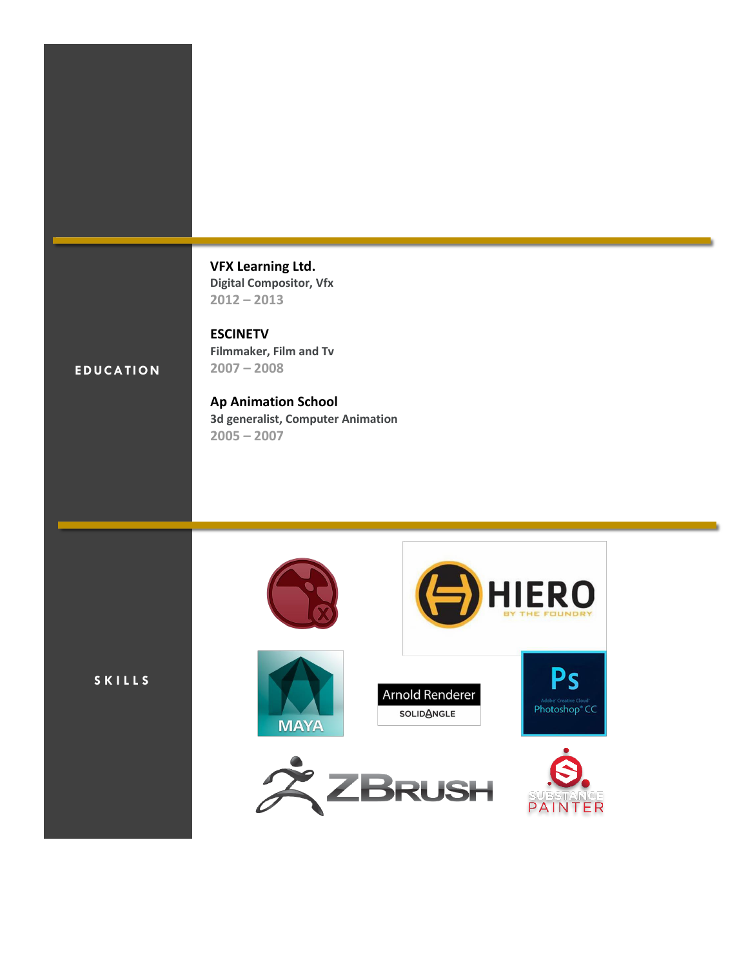**[VFX Learning Ltd.](https://www.linkedin.com/edu/alumni?name=VFX%2BLearning%2BLtd%2E&trk=prof-edu-school-name) Digital Compositor[, Vfx](https://www.linkedin.com/vsearch/p?keywords=Vfx&trk=prof-edu-field_of_study) 2012 – 2013**

**Filmmaker[, Film and Tv](https://www.linkedin.com/edu/fos?id=101134&trk=prof-edu-field_of_study)**

**[ESCINETV](https://www.linkedin.com/edu/alumni?name=ESCINETV&trk=prof-edu-school-name)**

**2007 – 2008**

## **EDUCATION**

**[Ap Animation School](https://www.linkedin.com/edu/alumni?name=Ap%2BAnimation%2BSchool&trk=prof-edu-school-name) 3d generalist[, Computer Animation](https://www.linkedin.com/edu/fos?id=100168&trk=prof-edu-field_of_study) 2005 – 2007**

**S K I L L S**